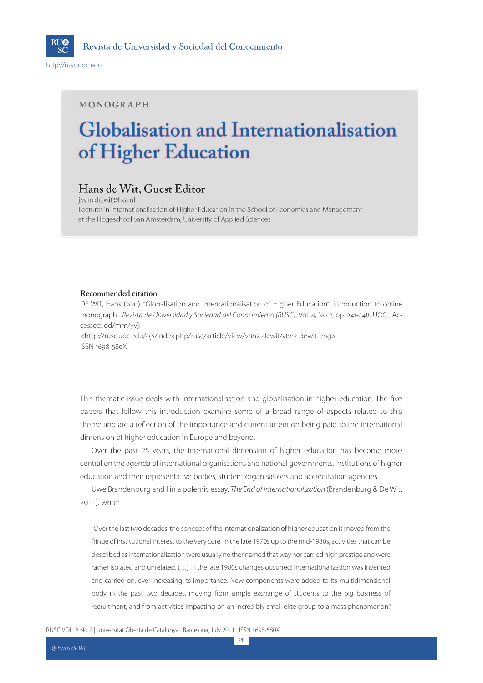

http://rusc.uoc.edu

### MONOGRAPH

# **Globalisation and Internationalisation** of Higher Education

### Hans de Wit, Guest Editor

j.w.m.de.wit@hva.nl Lecturer in Internationalisation of Higher Education in the School of Economics and Management at the Hogeschool van Amsterdam, University of Applied Sciences

#### **Recommended citation**

DE WIT, Hans (2011). "Globalisation and Internationalisation of Higher Education" [introduction to online monograph]. Revista de Universidad y Sociedad del Conocimiento (RUSC). Vol. 8, No 2, pp. 241-248. UOC. [Accessed: dd/mm/yy].

<http://rusc.uoc.edu/ojs/index.php/rusc/article/view/v8n2-dewit/v8n2-dewit-eng> ISSN 1698-580X

This thematic issue deals with internationalisation and globalisation in higher education. The five papers that follow this introduction examine some of a broad range of aspects related to this theme and are a reflection of the importance and current attention being paid to the international dimension of higher education in Europe and beyond.

Over the past 25 years, the international dimension of higher education has become more central on the agenda of international organisations and national governments, institutions of higher education and their representative bodies, student organisations and accreditation agencies.

Uwe Brandenburg and I in a polemic essay, The End of Internationalization (Brandenburg & De Wit, 2011), write:

"Over the last two decades, the concept of the internationalization of higher education is moved from the fringe of institutional interest to the very core. In the late 1970s up to the mid-1980s, activities that can be described as internationalization were usually neither named that way nor carried high prestige and were rather isolated and unrelated. (...) In the late 1980s changes occurred: Internationalization was invented and carried on, ever increasing its importance. New components were added to its multidimensional body in the past two decades, moving from simple exchange of students to the big business of recruitment, and from activities impacting on an incredibly small elite group to a mass phenomenon."

241

RUSC VOL. 8 No 2 | Universitat Oberta de Catalunya | Barcelona, July 2011 | ISSN 1698-580X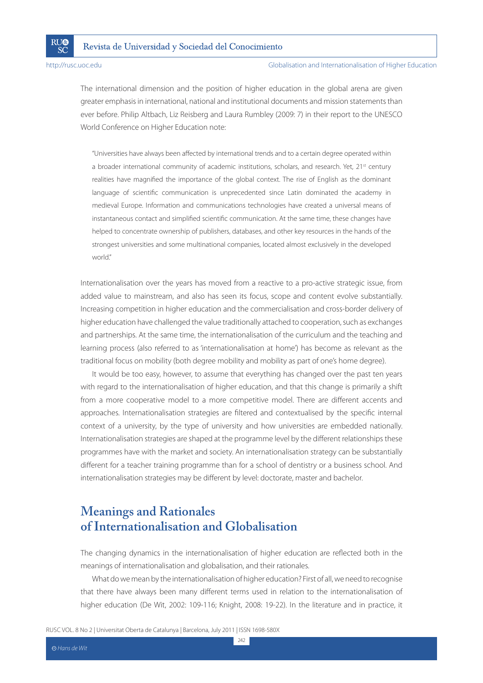The international dimension and the position of higher education in the global arena are given greater emphasis in international, national and institutional documents and mission statements than ever before. Philip Altbach, Liz Reisberg and Laura Rumbley (2009: 7) in their report to the UNESCO World Conference on Higher Education note:

"Universities have always been affected by international trends and to a certain degree operated within a broader international community of academic institutions, scholars, and research. Yet, 21<sup>st</sup> century realities have magnified the importance of the global context. The rise of English as the dominant language of scientific communication is unprecedented since Latin dominated the academy in medieval Europe. Information and communications technologies have created a universal means of instantaneous contact and simplified scientific communication. At the same time, these changes have helped to concentrate ownership of publishers, databases, and other key resources in the hands of the strongest universities and some multinational companies, located almost exclusively in the developed world"

Internationalisation over the years has moved from a reactive to a pro-active strategic issue, from added value to mainstream, and also has seen its focus, scope and content evolve substantially. Increasing competition in higher education and the commercialisation and cross-border delivery of higher education have challenged the value traditionally attached to cooperation, such as exchanges and partnerships. At the same time, the internationalisation of the curriculum and the teaching and learning process (also referred to as 'internationalisation at home') has become as relevant as the traditional focus on mobility (both degree mobility and mobility as part of one's home degree).

It would be too easy, however, to assume that everything has changed over the past ten years with regard to the internationalisation of higher education, and that this change is primarily a shift from a more cooperative model to a more competitive model. There are different accents and approaches. Internationalisation strategies are filtered and contextualised by the specific internal context of a university, by the type of university and how universities are embedded nationally. Internationalisation strategies are shaped at the programme level by the different relationships these programmes have with the market and society. An internationalisation strategy can be substantially different for a teacher training programme than for a school of dentistry or a business school. And internationalisation strategies may be different by level: doctorate, master and bachelor.

# **Meanings and Rationales of Internationalisation and Globalisation**

The changing dynamics in the internationalisation of higher education are reflected both in the meanings of internationalisation and globalisation, and their rationales.

What do we mean by the internationalisation of higher education? First of all, we need to recognise that there have always been many different terms used in relation to the internationalisation of higher education (De Wit, 2002: 109-116; Knight, 2008: 19-22). In the literature and in practice, it

RUSC VOL. 8 No 2 | Universitat Oberta de Catalunya | Barcelona, July 2011 | ISSN 1698-580X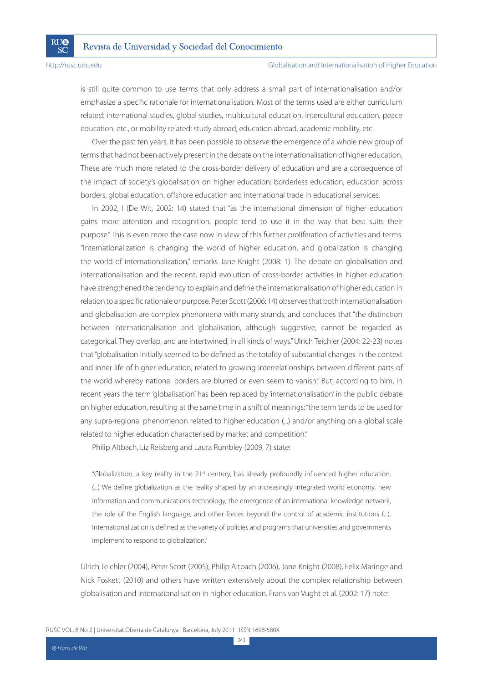**RI**I®

SČ

#### http://rusc.uoc.edu Globalisation and Internationalisation of Higher Education

is still quite common to use terms that only address a small part of internationalisation and/or emphasize a specific rationale for internationalisation. Most of the terms used are either curriculum related: international studies, global studies, multicultural education, intercultural education, peace education, etc., or mobility related: study abroad, education abroad, academic mobility, etc.

Over the past ten years, it has been possible to observe the emergence of a whole new group of terms that had not been actively present in the debate on the internationalisation of higher education. These are much more related to the cross-border delivery of education and are a consequence of the impact of society's globalisation on higher education: borderless education, education across borders, global education, offshore education and international trade in educational services.

In 2002, I (De Wit, 2002: 14) stated that "as the international dimension of higher education gains more attention and recognition, people tend to use it in the way that best suits their purpose." This is even more the case now in view of this further proliferation of activities and terms. "Internationalization is changing the world of higher education, and globalization is changing the world of internationalization," remarks Jane Knight (2008: 1). The debate on globalisation and internationalisation and the recent, rapid evolution of cross-border activities in higher education have strengthened the tendency to explain and define the internationalisation of higher education in relation to a specific rationale or purpose. Peter Scott (2006: 14) observes that both internationalisation and globalisation are complex phenomena with many strands, and concludes that "the distinction between internationalisation and globalisation, although suggestive, cannot be regarded as categorical. They overlap, and are intertwined, in all kinds of ways." Ulrich Teichler (2004: 22-23) notes that "globalisation initially seemed to be defined as the totality of substantial changes in the context and inner life of higher education, related to growing interrelationships between different parts of the world whereby national borders are blurred or even seem to vanish." But, according to him, in recent years the term 'globalisation' has been replaced by 'internationalisation' in the public debate on higher education, resulting at the same time in a shift of meanings: "the term tends to be used for any supra-regional phenomenon related to higher education (...) and/or anything on a global scale related to higher education characterised by market and competition."

Philip Altbach, Liz Reisberg and Laura Rumbley (2009, 7) state:

"Globalization, a key reality in the 21<sup>st</sup> century, has already profoundly influenced higher education. (...) We define globalization as the reality shaped by an increasingly integrated world economy, new information and communications technology, the emergence of an international knowledge network, the role of the English language, and other forces beyond the control of academic institutions (...). Internationalization is defined as the variety of policies and programs that universities and governments implement to respond to globalization."

Ulrich Teichler (2004), Peter Scott (2005), Philip Altbach (2006), Jane Knight (2008), Felix Maringe and Nick Foskett (2010) and others have written extensively about the complex relationship between globalisation and internationalisation in higher education. Frans van Vught et al. (2002: 17) note:

RUSC VOL. 8 No 2 | Universitat Oberta de Catalunya | Barcelona, July 2011 | ISSN 1698-580X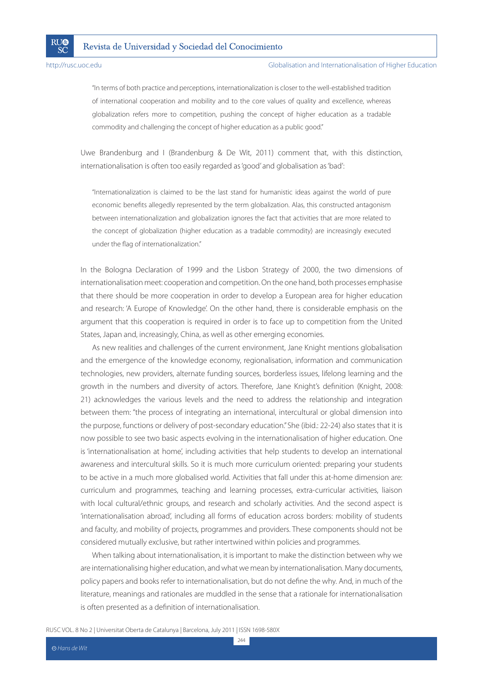**RI**I®

SČ

#### http://rusc.uoc.edu Globalisation and Internationalisation of Higher Education

"In terms of both practice and perceptions, internationalization is closer to the well-established tradition of international cooperation and mobility and to the core values of quality and excellence, whereas globalization refers more to competition, pushing the concept of higher education as a tradable commodity and challenging the concept of higher education as a public good."

Uwe Brandenburg and I (Brandenburg & De Wit, 2011) comment that, with this distinction, internationalisation is often too easily regarded as 'good' and globalisation as 'bad':

"Internationalization is claimed to be the last stand for humanistic ideas against the world of pure economic benefits allegedly represented by the term globalization. Alas, this constructed antagonism between internationalization and globalization ignores the fact that activities that are more related to the concept of globalization (higher education as a tradable commodity) are increasingly executed under the flag of internationalization."

In the Bologna Declaration of 1999 and the Lisbon Strategy of 2000, the two dimensions of internationalisation meet: cooperation and competition. On the one hand, both processes emphasise that there should be more cooperation in order to develop a European area for higher education and research: 'A Europe of Knowledge'. On the other hand, there is considerable emphasis on the argument that this cooperation is required in order is to face up to competition from the United States, Japan and, increasingly, China, as well as other emerging economies.

As new realities and challenges of the current environment, Jane Knight mentions globalisation and the emergence of the knowledge economy, regionalisation, information and communication technologies, new providers, alternate funding sources, borderless issues, lifelong learning and the growth in the numbers and diversity of actors. Therefore, Jane Knight's definition (Knight, 2008: 21) acknowledges the various levels and the need to address the relationship and integration between them: "the process of integrating an international, intercultural or global dimension into the purpose, functions or delivery of post-secondary education." She (ibid.: 22-24) also states that it is now possible to see two basic aspects evolving in the internationalisation of higher education. One is 'internationalisation at home', including activities that help students to develop an international awareness and intercultural skills. So it is much more curriculum oriented: preparing your students to be active in a much more globalised world. Activities that fall under this at-home dimension are: curriculum and programmes, teaching and learning processes, extra-curricular activities, liaison with local cultural/ethnic groups, and research and scholarly activities. And the second aspect is 'internationalisation abroad', including all forms of education across borders: mobility of students and faculty, and mobility of projects, programmes and providers. These components should not be considered mutually exclusive, but rather intertwined within policies and programmes.

When talking about internationalisation, it is important to make the distinction between why we are internationalising higher education, and what we mean by internationalisation. Many documents, policy papers and books refer to internationalisation, but do not define the why. And, in much of the literature, meanings and rationales are muddled in the sense that a rationale for internationalisation is often presented as a definition of internationalisation.

RUSC VOL. 8 No 2 | Universitat Oberta de Catalunya | Barcelona, July 2011 | ISSN 1698-580X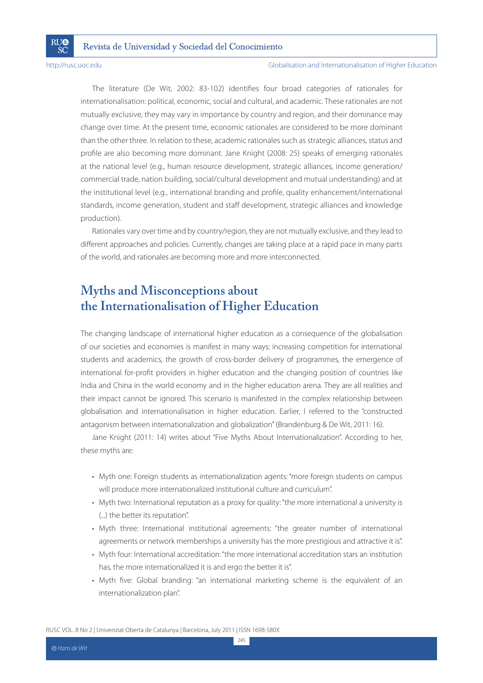**RI**I®

SČ

http://rusc.uoc.edu Globalisation and Internationalisation of Higher Education

The literature (De Wit, 2002: 83-102) identifies four broad categories of rationales for internationalisation: political, economic, social and cultural, and academic. These rationales are not mutually exclusive, they may vary in importance by country and region, and their dominance may change over time. At the present time, economic rationales are considered to be more dominant than the other three. In relation to these, academic rationales such as strategic alliances, status and profile are also becoming more dominant. Jane Knight (2008: 25) speaks of emerging rationales at the national level (e.g., human resource development, strategic alliances, income generation/ commercial trade, nation building, social/cultural development and mutual understanding) and at the institutional level (e.g., international branding and profile, quality enhancement/international standards, income generation, student and staff development, strategic alliances and knowledge production).

Rationales vary over time and by country/region, they are not mutually exclusive, and they lead to different approaches and policies. Currently, changes are taking place at a rapid pace in many parts of the world, and rationales are becoming more and more interconnected.

## **Myths and Misconceptions about the Internationalisation of Higher Education**

The changing landscape of international higher education as a consequence of the globalisation of our societies and economies is manifest in many ways: increasing competition for international students and academics, the growth of cross-border delivery of programmes, the emergence of international for-profit providers in higher education and the changing position of countries like India and China in the world economy and in the higher education arena. They are all realities and their impact cannot be ignored. This scenario is manifested in the complex relationship between globalisation and internationalisation in higher education. Earlier, I referred to the "constructed antagonism between internationalization and globalization" (Brandenburg & De Wit, 2011: 16).

Jane Knight (2011: 14) writes about "Five Myths About Internationalization". According to her, these myths are:

- Myth one: Foreign students as internationalization agents: "more foreign students on campus will produce more internationalized institutional culture and curriculum".
- Myth two: International reputation as a proxy for quality: "the more international a university is (...) the better its reputation".
- Myth three: International institutional agreements: "the greater number of international agreements or network memberships a university has the more prestigious and attractive it is".
- Myth four: International accreditation: "the more international accreditation stars an institution has, the more internationalized it is and ergo the better it is".
- Myth five: Global branding: "an international marketing scheme is the equivalent of an internationalization plan".

RUSC VOL. 8 No 2 | Universitat Oberta de Catalunya | Barcelona, July 2011 | ISSN 1698-580X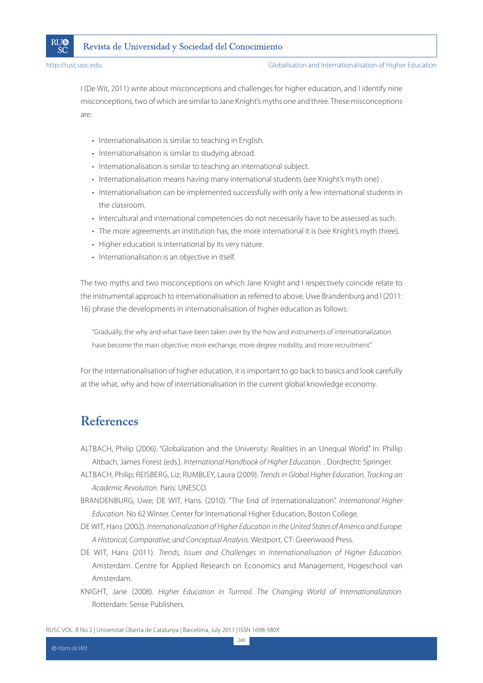

I (De Wit, 2011) write about misconceptions and challenges for higher education, and I identify nine misconceptions, two of which are similar to Jane Knight's myths one and three. These misconceptions are:

- Internationalisation is similar to teaching in English.
- Internationalisation is similar to studying abroad.
- Internationalisation is similar to teaching an international subject.
- Internationalisation means having many international students (see Knight's myth one).
- Internationalisation can be implemented successfully with only a few international students in the classroom.
- Intercultural and international competencies do not necessarily have to be assessed as such.
- The more agreements an institution has, the more international it is (see Knight's myth three).
- Higher education is international by its very nature.
- Internationalisation is an objective in itself.

The two myths and two misconceptions on which Jane Knight and I respectively coincide relate to the instrumental approach to internationalisation as referred to above. Uwe Brandenburg and I (2011: 16) phrase the developments in internationalisation of higher education as follows:

"Gradually, the why and what have been taken over by the how and instruments of internationalization have become the main objective: more exchange, more degree mobility, and more recruitment."

For the internationalisation of higher education, it is important to go back to basics and look carefully at the what, why and how of internationalisation in the current global knowledge economy.

### **References**

- ALTBACH, Philip (2006). "Globalization and the University: Realities in an Unequal World." In: Phillip Altbach, James Forest (eds.). International Handbook of Higher Education. . Dordrecht: Springer.
- ALTBACH, Philip; REISBERG, Liz; RUMBLEY, Laura (2009). Trends in Global Higher Education, Tracking an Academic Revolution. Paris: UNESCO.
- BRANDENBURG, Uwe; DE WIT, Hans. (2010). "The End of Internationalization". International Higher Education. No 62 Winter. Center for International Higher Education, Boston College.
- DE WIT, Hans (2002). Internationalization of Higher Education in the United States of America and Europe: A Historical, Comparative, and Conceptual Analysis. Westport, CT: Greenwood Press.
- DE WIT, Hans (2011). Trends, Issues and Challenges in Internationalisation of Higher Education. Amsterdam. Centre for Applied Research on Economics and Management, Hogeschool van Amsterdam.
- KNIGHT, Jane (2008). Higher Education in Turmoil. The Changing World of Internationalization. Rotterdam: Sense Publishers.

246

RUSC VOL. 8 No 2 | Universitat Oberta de Catalunya | Barcelona, July 2011 | ISSN 1698-580X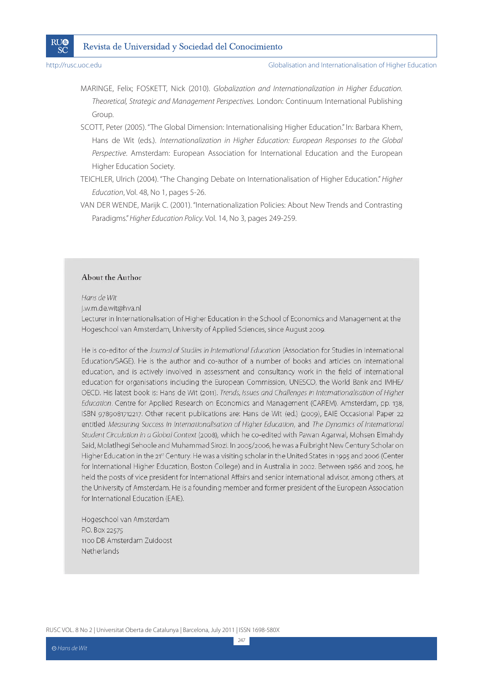

MARINGE, Felix; FOSKETT, Nick (2010). Globalization and Internationalization in Higher Education. Theoretical, Strategic and Management Perspectives. London: Continuum International Publishing Group.

SCOTT, Peter (2005). "The Global Dimension: Internationalising Higher Education." In: Barbara Khem, Hans de Wit (eds.). Internationalization in Higher Education: European Responses to the Global Perspective. Amsterdam: European Association for International Education and the European Higher Education Society.

TEICHLER, Ulrich (2004). "The Changing Debate on Internationalisation of Higher Education." Higher Education, Vol. 48, No 1, pages 5-26.

VAN DER WENDE, Marijk C. (2001). "Internationalization Policies: About New Trends and Contrasting Paradigms." Higher Education Policy. Vol. 14, No 3, pages 249-259.

#### About the Author

Hans de Wit

i.w.m.de.wit@hya.nl

Lecturer in Internationalisation of Higher Education in the School of Economics and Management at the Hogeschool van Amsterdam, University of Applied Sciences, since August 2009.

He is co-editor of the Journal of Studies in International Education (Association for Studies in International Education/SAGE). He is the author and co-author of a number of books and articles on international education, and is actively involved in assessment and consultancy work in the field of international education for organisations including the European Commission, UNESCO, the World Bank and IMHE/ OECD. His latest book is: Hans de Wit (2011). Trends, Issues and Challenges in Internationalisation of Higher Education. Centre for Applied Research on Economics and Management (CAREM). Amsterdam, pp. 138, ISBN 9789081712217. Other recent publications are: Hans de Wit (ed.) (2009), EAIE Occasional Paper 22 entitled Measuring Success in Internationalisation of Higher Education, and The Dynamics of International Student Circulation in a Global Context (2008), which he co-edited with Pawan Agarwal, Mohsen Elmahdy Said, Molatlhegi Sehoole and Muhammad Sirozi. In 2005/2006, he was a Fulbright New Century Scholar on Higher Education in the 21<sup>st</sup> Century. He was a visiting scholar in the United States in 1995 and 2006 (Center for International Higher Education, Boston College) and in Australia in 2002. Between 1986 and 2005, he held the posts of vice president for International Affairs and senior international advisor, among others, at the University of Amsterdam. He is a founding member and former president of the European Association for International Education (EAIE).

Hogeschool van Amsterdam P.O. Box 22575 1100 DB Amsterdam Zuidoost Netherlands

RUSC VOL. 8 No 2 | Universitat Oberta de Catalunya | Barcelona, July 2011 | ISSN 1698-580X